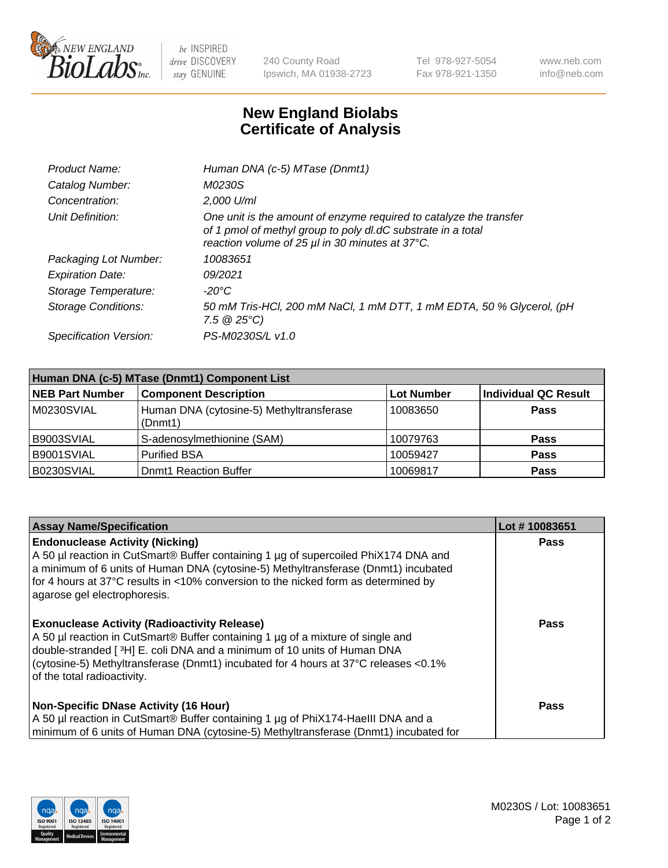

 $be$  INSPIRED drive DISCOVERY stay GENUINE

240 County Road Ipswich, MA 01938-2723 Tel 978-927-5054 Fax 978-921-1350 www.neb.com info@neb.com

## **New England Biolabs Certificate of Analysis**

| Product Name:              | Human DNA (c-5) MTase (Dnmt1)                                                                                                                                                         |
|----------------------------|---------------------------------------------------------------------------------------------------------------------------------------------------------------------------------------|
| Catalog Number:            | <i>M0230S</i>                                                                                                                                                                         |
| Concentration:             | $2.000$ U/ml                                                                                                                                                                          |
| Unit Definition:           | One unit is the amount of enzyme required to catalyze the transfer<br>of 1 pmol of methyl group to poly dl.dC substrate in a total<br>reaction volume of 25 µl in 30 minutes at 37°C. |
| Packaging Lot Number:      | 10083651                                                                                                                                                                              |
| <b>Expiration Date:</b>    | 09/2021                                                                                                                                                                               |
| Storage Temperature:       | $-20^{\circ}$ C                                                                                                                                                                       |
| <b>Storage Conditions:</b> | 50 mM Tris-HCl, 200 mM NaCl, 1 mM DTT, 1 mM EDTA, 50 % Glycerol, (pH<br>7.5 $@25°C$ )                                                                                                 |
| Specification Version:     | PS-M0230S/L v1.0                                                                                                                                                                      |

| Human DNA (c-5) MTase (Dnmt1) Component List |                                                     |                   |                      |  |  |
|----------------------------------------------|-----------------------------------------------------|-------------------|----------------------|--|--|
| <b>NEB Part Number</b>                       | <b>Component Description</b>                        | <b>Lot Number</b> | Individual QC Result |  |  |
| M0230SVIAL                                   | Human DNA (cytosine-5) Methyltransferase<br>(Dnmt1) | 10083650          | Pass                 |  |  |
| B9003SVIAL                                   | S-adenosylmethionine (SAM)                          | 10079763          | <b>Pass</b>          |  |  |
| B9001SVIAL                                   | <b>Purified BSA</b>                                 | 10059427          | <b>Pass</b>          |  |  |
| B0230SVIAL                                   | <b>Domt1 Reaction Buffer</b>                        | 10069817          | <b>Pass</b>          |  |  |

| <b>Assay Name/Specification</b>                                                                                                                                                                                                                                                                                                           | Lot #10083651 |
|-------------------------------------------------------------------------------------------------------------------------------------------------------------------------------------------------------------------------------------------------------------------------------------------------------------------------------------------|---------------|
| <b>Endonuclease Activity (Nicking)</b><br>A 50 µl reaction in CutSmart® Buffer containing 1 µg of supercoiled PhiX174 DNA and<br>a minimum of 6 units of Human DNA (cytosine-5) Methyltransferase (Dnmt1) incubated<br>for 4 hours at 37°C results in <10% conversion to the nicked form as determined by<br>agarose gel electrophoresis. | <b>Pass</b>   |
| <b>Exonuclease Activity (Radioactivity Release)</b><br>A 50 µl reaction in CutSmart® Buffer containing 1 µg of a mixture of single and<br>double-stranded [3H] E. coli DNA and a minimum of 10 units of Human DNA<br>(cytosine-5) Methyltransferase (Dnmt1) incubated for 4 hours at 37°C releases <0.1%<br>of the total radioactivity.   | <b>Pass</b>   |
| <b>Non-Specific DNase Activity (16 Hour)</b><br>A 50 µl reaction in CutSmart® Buffer containing 1 µg of PhiX174-Haelll DNA and a<br>minimum of 6 units of Human DNA (cytosine-5) Methyltransferase (Dnmt1) incubated for                                                                                                                  | Pass          |